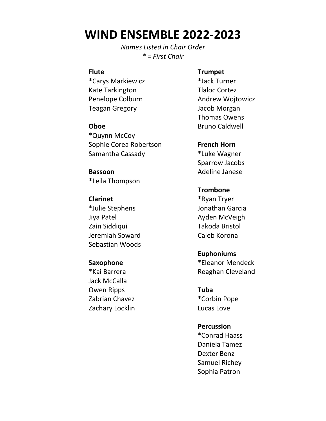# **WIND ENSEMBLE 2022-2023**

*Names Listed in Chair Order \* = First Chair*

#### **Flute**

\*Carys Markiewicz Kate Tarkington Penelope Colburn Teagan Gregory

### **Oboe**

\*Quynn McCoy Sophie Corea Robertson Samantha Cassady

**Bassoon**  \*Leila Thompson

## **Clarinet** \*Julie Stephens Jiya Patel Zain Siddiqui Jeremiah Soward Sebastian Woods

**Saxophone**  \*Kai Barrera Jack McCalla Owen Ripps Zabrian Chavez Zachary Locklin

#### **Trumpet**

\*Jack Turner Tlaloc Cortez Andrew Wojtowicz Jacob Morgan Thomas Owens Bruno Caldwell

**French Horn**  \*Luke Wagner Sparrow Jacobs Adeline Janese

## **Trombone** \*Ryan Tryer Jonathan Garcia Ayden McVeigh Takoda Bristol Caleb Korona

**Euphoniums**  \*Eleanor Mendeck Reaghan Cleveland

**Tuba**  \*Corbin Pope Lucas Love

#### **Percussion**

\*Conrad Haass Daniela Tamez Dexter Benz Samuel Richey Sophia Patron